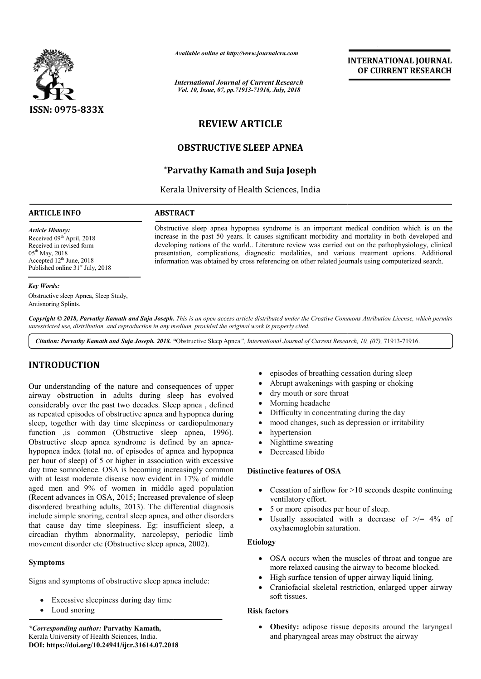

*Available online at http://www.journalcra.com*

*International Journal of Current Research Vol. 10, Issue, 07, pp.71913-71916, July, 2018*

# **INTERNATIONAL JOURNAL OF CURRENT RESEARCH**

# **REVIEW ARTICLE**

# **OBSTRUCTIVE SLEEP APNEA**

# **\*Parvathy Parvathy Kamath and Suja Joseph**

Kerala University of Health Sciences, India

## **ARTICLE INFO ABSTRACT**

*Article History:* Received 09<sup>th</sup> April, 2018 Received in revised form  $05^{th}$  May, 2018 Accepted  $12<sup>th</sup>$  June, 2018 Published online 31<sup>st</sup> July, 2018

#### *Key Words:*

Obstructive sleep Apnea, Sleep Study, Antisnoring Splints.

Copyright © 2018, Parvathy Kamath and Suja Joseph. This is an open access article distributed under the Creative Commons Attribution License, which permits *unrestricted use, distribution, and reproduction in any medium, provided the original work is properly cited.*

Citation: Parvathy Kamath and Suja Joseph. 2018. "Obstructive Sleep Apnea", International Journal of Current Research, 10, (07), 71913-71916.

# **INTRODUCTION**

Our understanding of the nature and consequences of upper airway obstruction in adults during sleep has evolved considerably over the past two decades. Sleep apnea , defined as repeated episodes of obstructive apnea and hypopnea during sleep, together with day time sleepiness or cardiopulmonary function ,is common (Obstructive sleep apnea, 1996). Obstructive sleep apnea syndrome is defined by an apneahypopnea index (total no. of episodes of apnea and hypopnea per hour of sleep) of 5 or higher in association with excessive day time somnolence. OSA is becoming increasingly common with at least moderate disease now evident in 17% of middle aged men and 9% of women in middle aged population (Recent advances in OSA, 2015; Increased prevalence of sleep disordered breathing adults, 2013). The differential diagnosis include simple snoring, central sleep apnea, and other disorders that cause day time sleepiness. Eg: insufficient sleep, a circadian rhythm abnormality, narcolepsy, periodic limb movement disorder etc (Obstructive sleep apnea, 2002). **.** episodes of breathing cessation<br> **.** experiences of upper<br> **.07.2018** experiences or cational consequences of edipheres or cation<br> **.07.2018** experiences or cations and hypopne a during the set or adjoint<br> **.07.2018** e

# **Symptoms**

Signs and symptoms of obstructive sleep apnea include:

- Excessive sleepiness during day time
- Loud snoring

*\*Corresponding author:* **Parvathy Kamath,** Kerala University of Health Sciences, India. **DOI: https://doi.org/10.24941/ijcr.31614.07.2018**

- episodes of breathing cessation during sleep
- Abrupt awakenings with gasping or choking
- dry mouth or sore throat

Obstructive sleep apnea hypopnea syndrome is an important medical condition which is on the increase in the past 50 years. It causes significant morbidity and mortality in both developed and developing nations of the world.. Literature review was carried out on the pathophysiology, clinical presentation, complications, diagnostic modalities, and various treatment options. Additional information was obtained by cross referencing on other related journals using computerized search.

- Morning headache
- Difficulty in concentrating during the day
- mood changes, such as depression or irritability
- hypertension
- Nighttime sweating
- Decreased libido

# **Distinctive features of OSA**

- Cessation of airflow for >10 seconds despite continuing ventilatory effort.
- 5 or more episodes per hour of sleep.
- Usually associated with a decrease of  $\geq$  4% of oxyhaemoglobin saturation.

# **Etiology**

- OSA occurs when the muscles of throat and tongue are more relaxed causing the airway to become blocked.
- High surface tension of upper airway liquid lining.
- Craniofacial skeletal restriction, enlarged upper airway soft tissues.

## **Risk factors**

 **Obesity:** adipose tissue deposits around the laryngeal and pharyngeal areas may obstruct the airway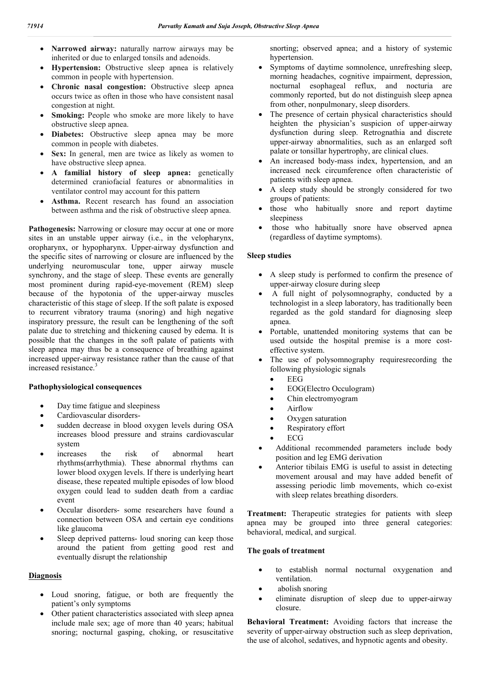- **Narrowed airway:** naturally narrow airways may be inherited or due to enlarged tonsils and adenoids.
- **Hypertension:** Obstructive sleep apnea is relatively common in people with hypertension.
- **Chronic nasal congestion:** Obstructive sleep apnea occurs twice as often in those who have consistent nasal congestion at night.
- **Smoking:** People who smoke are more likely to have obstructive sleep apnea.
- **Diabetes:** Obstructive sleep apnea may be more common in people with diabetes.
- Sex: In general, men are twice as likely as women to have obstructive sleep apnea.
- **A familial history of sleep apnea:** genetically determined craniofacial features or abnormalities in ventilator control may account for this pattern
- Asthma. Recent research has found an association between asthma and the risk of obstructive sleep apnea.

Pathogenesis: Narrowing or closure may occur at one or more sites in an unstable upper airway (i.e., in the velopharynx, oropharynx, or hypopharynx. Upper-airway dysfunction and the specific sites of narrowing or closure are influenced by the underlying neuromuscular tone, upper airway muscle synchrony, and the stage of sleep. These events are generally most prominent during rapid-eye-movement (REM) sleep because of the hypotonia of the upper-airway muscles characteristic of this stage of sleep. If the soft palate is exposed to recurrent vibratory trauma (snoring) and high negative inspiratory pressure, the result can be lengthening of the soft palate due to stretching and thickening caused by edema. It is possible that the changes in the soft palate of patients with sleep apnea may thus be a consequence of breathing against increased upper-airway resistance rather than the cause of that increased resistance.<sup>3</sup>

## **Pathophysiological consequences**

- Day time fatigue and sleepiness
- Cardiovascular disorders-
- sudden decrease in blood oxygen levels during OSA increases blood pressure and strains cardiovascular system
- increases the risk of abnormal heart rhythms(arrhythmia). These abnormal rhythms can lower blood oxygen levels. If there is underlying heart disease, these repeated multiple episodes of low blood oxygen could lead to sudden death from a cardiac event
- Occular disorders- some researchers have found a connection between OSA and certain eye conditions like glaucoma
- Sleep deprived patterns- loud snoring can keep those around the patient from getting good rest and eventually disrupt the relationship

# **Diagnosis**

- Loud snoring, fatigue, or both are frequently the patient's only symptoms
- Other patient characteristics associated with sleep apnea include male sex; age of more than 40 years; habitual snoring; nocturnal gasping, choking, or resuscitative

snorting; observed apnea; and a history of systemic hypertension.

- Symptoms of daytime somnolence, unrefreshing sleep, morning headaches, cognitive impairment, depression, nocturnal esophageal reflux, and nocturia are commonly reported, but do not distinguish sleep apnea from other, nonpulmonary, sleep disorders.
- The presence of certain physical characteristics should heighten the physician's suspicion of upper-airway dysfunction during sleep. Retrognathia and discrete upper-airway abnormalities, such as an enlarged soft palate or tonsillar hypertrophy, are clinical clues.
- An increased body-mass index, hypertension, and an increased neck circumference often characteristic of patients with sleep apnea.
- A sleep study should be strongly considered for two groups of patients:
- those who habitually snore and report daytime sleepiness
- those who habitually snore have observed apnea (regardless of daytime symptoms).

## **Sleep studies**

- A sleep study is performed to confirm the presence of upper-airway closure during sleep
- A full night of polysomnography, conducted by a technologist in a sleep laboratory, has traditionally been regarded as the gold standard for diagnosing sleep apnea.
- Portable, unattended monitoring systems that can be used outside the hospital premise is a more costeffective system.
- The use of polysomnography requiresrecording the following physiologic signals
	- $\bullet$  EEG
	- EOG(Electro Occulogram)
	- Chin electromyogram
	- Airflow
	- Oxygen saturation
	- Respiratory effort
	- ECG
- Additional recommended parameters include body position and leg EMG derivation
- Anterior tibilais EMG is useful to assist in detecting movement arousal and may have added benefit of assessing periodic limb movements, which co-exist with sleep relates breathing disorders.

**Treatment:** Therapeutic strategies for patients with sleep apnea may be grouped into three general categories: behavioral, medical, and surgical.

# **The goals of treatment**

- to establish normal nocturnal oxygenation and ventilation.
- abolish snoring
- eliminate disruption of sleep due to upper-airway closure.

**Behavioral Treatment:** Avoiding factors that increase the severity of upper-airway obstruction such as sleep deprivation, the use of alcohol, sedatives, and hypnotic agents and obesity.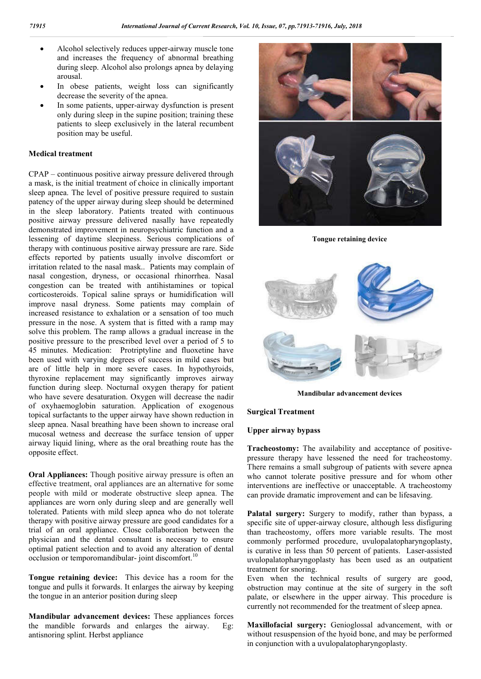- Alcohol selectively reduces upper-airway muscle tone and increases the frequency of abnormal breathing during sleep. Alcohol also prolongs apnea by delaying arousal.
- In obese patients, weight loss can significantly decrease the severity of the apnea.
- In some patients, upper-airway dysfunction is present only during sleep in the supine position; training these patients to sleep exclusively in the lateral recumbent position may be useful.

## **Medical treatment**

CPAP – continuous positive airway pressure delivered through a mask, is the initial treatment of choice in clinically important sleep apnea. The level of positive pressure required to sustain patency of the upper airway during sleep should be determined in the sleep laboratory. Patients treated with continuous positive airway pressure delivered nasally have repeatedly demonstrated improvement in neuropsychiatric function and a lessening of daytime sleepiness. Serious complications of therapy with continuous positive airway pressure are rare. Side effects reported by patients usually involve discomfort or irritation related to the nasal mask.. Patients may complain of nasal congestion, dryness, or occasional rhinorrhea. Nasal congestion can be treated with antihistamines or topical corticosteroids. Topical saline sprays or humidification will improve nasal dryness. Some patients may complain of increased resistance to exhalation or a sensation of too much pressure in the nose. A system that is fitted with a ramp may solve this problem. The ramp allows a gradual increase in the positive pressure to the prescribed level over a period of 5 to 45 minutes. Medication: Protriptyline and fluoxetine have been used with varying degrees of success in mild cases but are of little help in more severe cases. In hypothyroids, thyroxine replacement may significantly improves airway function during sleep. Nocturnal oxygen therapy for patient who have severe desaturation. Oxygen will decrease the nadir of oxyhaemoglobin saturation. Application of exogenous topical surfactants to the upper airway have shown reduction in sleep apnea. Nasal breathing have been shown to increase oral mucosal wetness and decrease the surface tension of upper airway liquid lining, where as the oral breathing route has the opposite effect.

**Oral Appliances:** Though positive airway pressure is often an effective treatment, oral appliances are an alternative for some people with mild or moderate obstructive sleep apnea. The appliances are worn only during sleep and are generally well tolerated. Patients with mild sleep apnea who do not tolerate therapy with positive airway pressure are good candidates for a trial of an oral appliance. Close collaboration between the physician and the dental consultant is necessary to ensure optimal patient selection and to avoid any alteration of dental occlusion or temporomandibular-joint discomfort.<sup>10</sup>

**Tongue retaining device:** This device has a room for the tongue and pulls it forwards. It enlarges the airway by keeping the tongue in an anterior position during sleep

**Mandibular advancement devices:** These appliances forces the mandible forwards and enlarges the airway. Eg: antisnoring splint. Herbst appliance



**Tongue retaining device**



**Mandibular advancement devices**

## **Surgical Treatment**

**Upper airway bypass**

**Tracheostomy:** The availability and acceptance of positivepressure therapy have lessened the need for tracheostomy. There remains a small subgroup of patients with severe apnea who cannot tolerate positive pressure and for whom other interventions are ineffective or unacceptable. A tracheostomy can provide dramatic improvement and can be lifesaving.

**Palatal surgery:** Surgery to modify, rather than bypass, a specific site of upper-airway closure, although less disfiguring than tracheostomy, offers more variable results. The most commonly performed procedure, uvulopalatopharyngoplasty, is curative in less than 50 percent of patients. Laser-assisted uvulopalatopharyngoplasty has been used as an outpatient treatment for snoring.

Even when the technical results of surgery are good, obstruction may continue at the site of surgery in the soft palate, or elsewhere in the upper airway. This procedure is currently not recommended for the treatment of sleep apnea.

**Maxillofacial surgery:** Genioglossal advancement, with or without resuspension of the hyoid bone, and may be performed in conjunction with a uvulopalatopharyngoplasty.